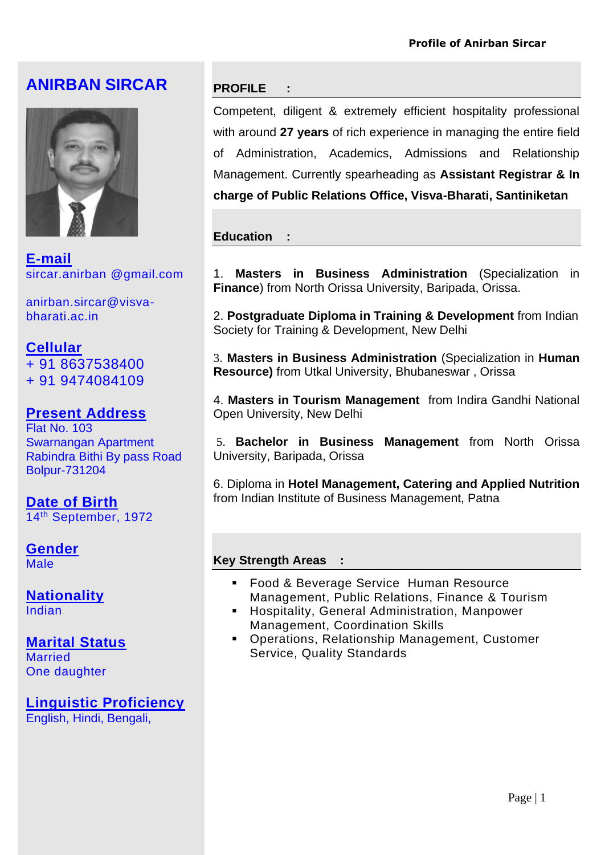# **ANIRBAN SIRCAR**



**E-mail** sircar.anirban @gmail.com

anirban.sircar@visvabharati.ac.in

# **Cellular**  + 91 8637538400

+ 91 9474084109

# **Present Address**

Flat No. 103 Swarnangan Apartment Rabindra Bithi By pass Road Bolpur-731204

**Date of Birth** 14th September, 1972

#### **Gender** Male

**Nationality** Indian

## **Marital Status Married**

One daughter

**Linguistic Proficiency** English, Hindi, Bengali,

## **PROFILE :**

Competent, diligent & extremely efficient hospitality professional with around **27 years** of rich experience in managing the entire field of Administration, Academics, Admissions and Relationship Management. Currently spearheading as **Assistant Registrar & In charge of Public Relations Office, Visva-Bharati, Santiniketan**

## **Education :**

1. **Masters in Business Administration** (Specialization in **Finance**) from North Orissa University, Baripada, Orissa.

2. **Postgraduate Diploma in Training & Development** from Indian Society for Training & Development, New Delhi

3. **Masters in Business Administration** (Specialization in **Human Resource)** from Utkal University, Bhubaneswar , Orissa

4. **Masters in Tourism Management** from Indira Gandhi National Open University, New Delhi

5. **Bachelor in Business Management** from North Orissa University, Baripada, Orissa

6. Diploma in **Hotel Management, Catering and Applied Nutrition** from Indian Institute of Business Management, Patna

## **Key Strength Areas :**

- Food & Beverage Service Human Resource Management, Public Relations, Finance & Tourism
- Hospitality, General Administration, Manpower Management, Coordination Skills
- Operations, Relationship Management, Customer Service, Quality Standards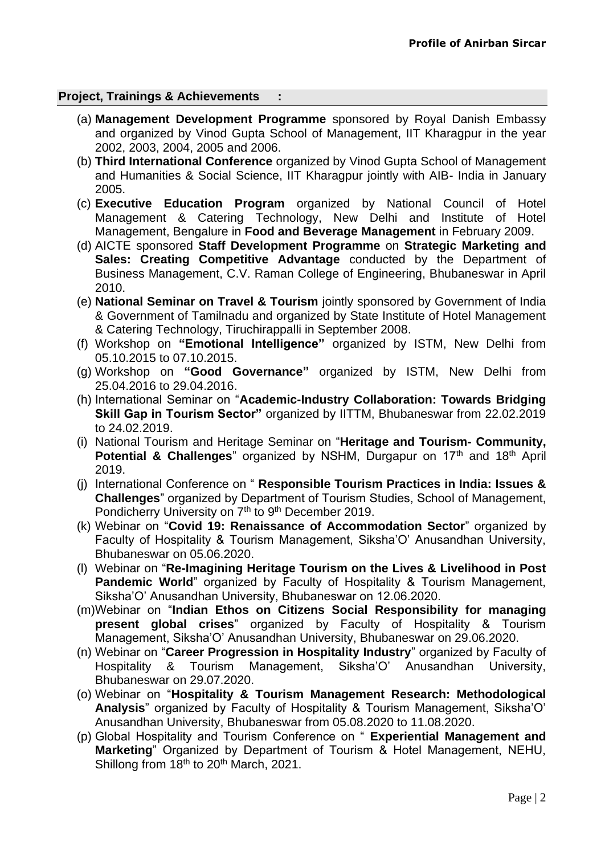## **Project, Trainings & Achievements :**

- (a) **Management Development Programme** sponsored by Royal Danish Embassy and organized by Vinod Gupta School of Management, IIT Kharagpur in the year 2002, 2003, 2004, 2005 and 2006.
- (b) **Third International Conference** organized by Vinod Gupta School of Management and Humanities & Social Science, IIT Kharagpur jointly with AIB- India in January 2005.
- (c) **Executive Education Program** organized by National Council of Hotel Management & Catering Technology, New Delhi and Institute of Hotel Management, Bengalure in **Food and Beverage Management** in February 2009.
- (d) AICTE sponsored **Staff Development Programme** on **Strategic Marketing and Sales: Creating Competitive Advantage** conducted by the Department of Business Management, C.V. Raman College of Engineering, Bhubaneswar in April 2010.
- (e) **National Seminar on Travel & Tourism** jointly sponsored by Government of India & Government of Tamilnadu and organized by State Institute of Hotel Management & Catering Technology, Tiruchirappalli in September 2008.
- (f) Workshop on **"Emotional Intelligence"** organized by ISTM, New Delhi from 05.10.2015 to 07.10.2015.
- (g) Workshop on **"Good Governance"** organized by ISTM, New Delhi from 25.04.2016 to 29.04.2016.
- (h) International Seminar on "**Academic-Industry Collaboration: Towards Bridging Skill Gap in Tourism Sector"** organized by IITTM, Bhubaneswar from 22.02.2019 to 24.02.2019.
- (i) National Tourism and Heritage Seminar on "**Heritage and Tourism- Community, Potential & Challenges**" organized by NSHM, Durgapur on 17<sup>th</sup> and 18<sup>th</sup> April 2019.
- (j) International Conference on " **Responsible Tourism Practices in India: Issues & Challenges**" organized by Department of Tourism Studies, School of Management, Pondicherry University on 7<sup>th</sup> to 9<sup>th</sup> December 2019.
- (k) Webinar on "**Covid 19: Renaissance of Accommodation Sector**" organized by Faculty of Hospitality & Tourism Management, Siksha'O' Anusandhan University, Bhubaneswar on 05.06.2020.
- (l) Webinar on "**Re-Imagining Heritage Tourism on the Lives & Livelihood in Post Pandemic World**" organized by Faculty of Hospitality & Tourism Management, Siksha'O' Anusandhan University, Bhubaneswar on 12.06.2020.
- (m)Webinar on "**Indian Ethos on Citizens Social Responsibility for managing present global crises**" organized by Faculty of Hospitality & Tourism Management, Siksha'O' Anusandhan University, Bhubaneswar on 29.06.2020.
- (n) Webinar on "**Career Progression in Hospitality Industry**" organized by Faculty of Hospitality & Tourism Management, Siksha'O' Anusandhan University, Bhubaneswar on 29.07.2020.
- (o) Webinar on "**Hospitality & Tourism Management Research: Methodological Analysis**" organized by Faculty of Hospitality & Tourism Management, Siksha'O' Anusandhan University, Bhubaneswar from 05.08.2020 to 11.08.2020.
- (p) Global Hospitality and Tourism Conference on " **Experiential Management and Marketing**" Organized by Department of Tourism & Hotel Management, NEHU, Shillong from 18<sup>th</sup> to 20<sup>th</sup> March, 2021.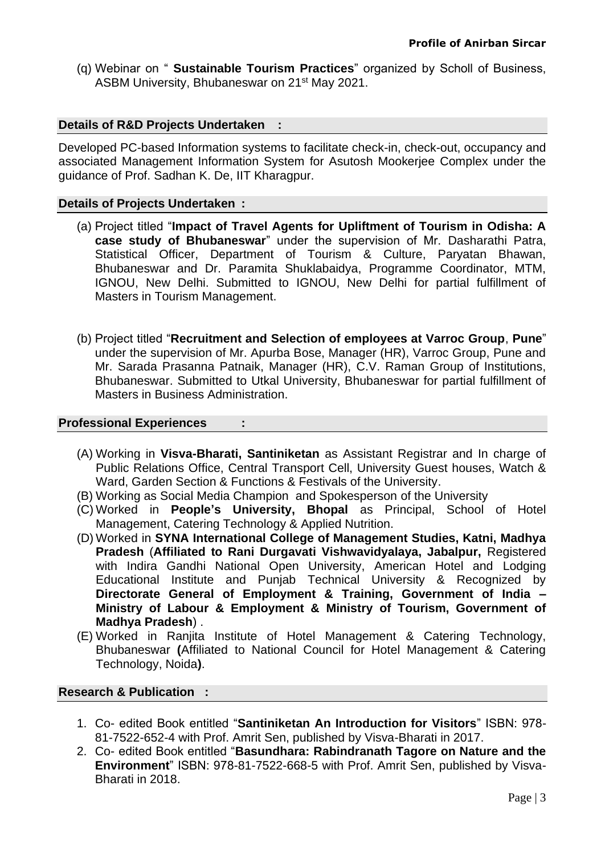(q) Webinar on " **Sustainable Tourism Practices**" organized by Scholl of Business, ASBM University, Bhubaneswar on 21st May 2021.

## **Details of R&D Projects Undertaken :**

Developed PC-based Information systems to facilitate check-in, check-out, occupancy and associated Management Information System for Asutosh Mookerjee Complex under the guidance of Prof. Sadhan K. De, IIT Kharagpur.

### **Details of Projects Undertaken :**

- (a) Project titled "**Impact of Travel Agents for Upliftment of Tourism in Odisha: A case study of Bhubaneswar**" under the supervision of Mr. Dasharathi Patra, Statistical Officer, Department of Tourism & Culture, Paryatan Bhawan, Bhubaneswar and Dr. Paramita Shuklabaidya, Programme Coordinator, MTM, IGNOU, New Delhi. Submitted to IGNOU, New Delhi for partial fulfillment of Masters in Tourism Management.
- (b) Project titled "**Recruitment and Selection of employees at Varroc Group**, **Pune**" under the supervision of Mr. Apurba Bose, Manager (HR), Varroc Group, Pune and Mr. Sarada Prasanna Patnaik, Manager (HR), C.V. Raman Group of Institutions, Bhubaneswar. Submitted to Utkal University, Bhubaneswar for partial fulfillment of Masters in Business Administration.

### **Professional Experiences :**

- (A) Working in **Visva-Bharati, Santiniketan** as Assistant Registrar and In charge of Public Relations Office, Central Transport Cell, University Guest houses, Watch & Ward, Garden Section & Functions & Festivals of the University.
- (B) Working as Social Media Champion and Spokesperson of the University
- (C) Worked in **People's University, Bhopal** as Principal, School of Hotel Management, Catering Technology & Applied Nutrition.
- (D) Worked in **SYNA International College of Management Studies, Katni, Madhya Pradesh** (**Affiliated to Rani Durgavati Vishwavidyalaya, Jabalpur,** Registered with Indira Gandhi National Open University, American Hotel and Lodging Educational Institute and Punjab Technical University & Recognized by **Directorate General of Employment & Training, Government of India – Ministry of Labour & Employment & Ministry of Tourism, Government of Madhya Pradesh**) .
- (E) Worked in Ranjita Institute of Hotel Management & Catering Technology, Bhubaneswar **(**Affiliated to National Council for Hotel Management & Catering Technology, Noida**)**.

#### **Research & Publication :**

- 1. Co- edited Book entitled "**Santiniketan An Introduction for Visitors**" ISBN: 978- 81-7522-652-4 with Prof. Amrit Sen, published by Visva-Bharati in 2017.
- 2. Co- edited Book entitled "**Basundhara: Rabindranath Tagore on Nature and the Environment**" ISBN: 978-81-7522-668-5 with Prof. Amrit Sen, published by Visva-Bharati in 2018.